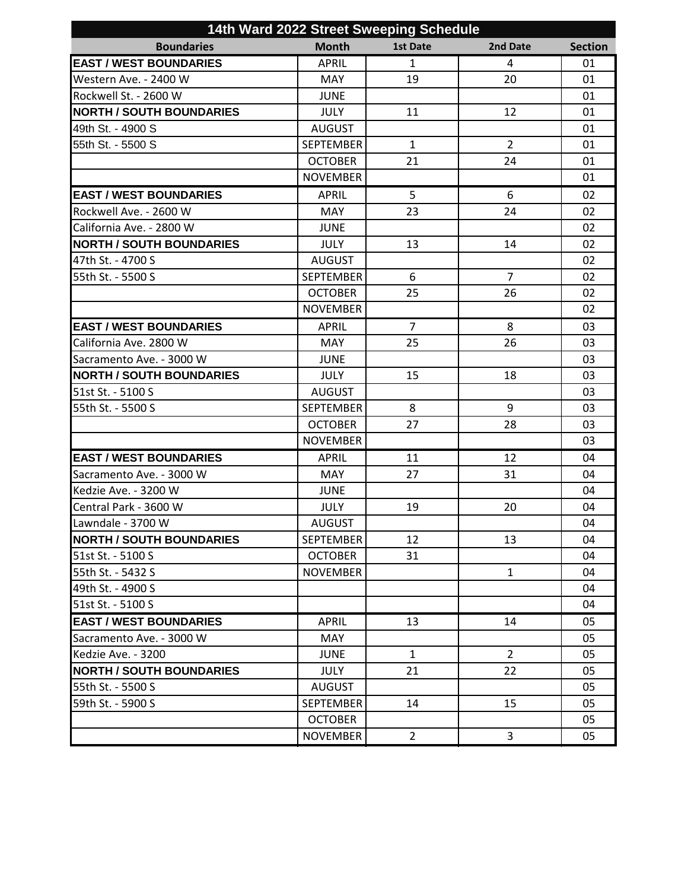|                                 | 14th Ward 2022 Street Sweeping Schedule |                 |                |                |  |  |
|---------------------------------|-----------------------------------------|-----------------|----------------|----------------|--|--|
| <b>Boundaries</b>               | <b>Month</b>                            | <b>1st Date</b> | 2nd Date       | <b>Section</b> |  |  |
| <b>EAST / WEST BOUNDARIES</b>   | <b>APRIL</b>                            | $\mathbf{1}$    | 4              | 01             |  |  |
| Western Ave. - 2400 W           | <b>MAY</b>                              | 19              | 20             | 01             |  |  |
| Rockwell St. - 2600 W           | <b>JUNE</b>                             |                 |                | 01             |  |  |
| <b>NORTH / SOUTH BOUNDARIES</b> | <b>JULY</b>                             | 11              | 12             | 01             |  |  |
| 49th St. - 4900 S               | <b>AUGUST</b>                           |                 |                | 01             |  |  |
| 55th St. - 5500 S               | <b>SEPTEMBER</b>                        | $\mathbf{1}$    | $\overline{2}$ | 01             |  |  |
|                                 | <b>OCTOBER</b>                          | 21              | 24             | 01             |  |  |
|                                 | <b>NOVEMBER</b>                         |                 |                | 01             |  |  |
| <b>EAST / WEST BOUNDARIES</b>   | <b>APRIL</b>                            | 5               | 6              | 02             |  |  |
| Rockwell Ave. - 2600 W          | <b>MAY</b>                              | 23              | 24             | 02             |  |  |
| California Ave. - 2800 W        | <b>JUNE</b>                             |                 |                | 02             |  |  |
| <b>NORTH / SOUTH BOUNDARIES</b> | <b>JULY</b>                             | 13              | 14             | 02             |  |  |
| 47th St. - 4700 S               | <b>AUGUST</b>                           |                 |                | 02             |  |  |
| 55th St. - 5500 S               | <b>SEPTEMBER</b>                        | 6               | $\overline{7}$ | 02             |  |  |
|                                 | <b>OCTOBER</b>                          | 25              | 26             | 02             |  |  |
|                                 | <b>NOVEMBER</b>                         |                 |                | 02             |  |  |
| <b>EAST / WEST BOUNDARIES</b>   | <b>APRIL</b>                            | $\overline{7}$  | 8              | 03             |  |  |
| California Ave. 2800 W          | <b>MAY</b>                              | 25              | 26             | 03             |  |  |
| Sacramento Ave. - 3000 W        | <b>JUNE</b>                             |                 |                | 03             |  |  |
| <b>NORTH / SOUTH BOUNDARIES</b> | <b>JULY</b>                             | 15              | 18             | 03             |  |  |
| 51st St. - 5100 S               | <b>AUGUST</b>                           |                 |                | 03             |  |  |
| 55th St. - 5500 S               | <b>SEPTEMBER</b>                        | 8               | 9              | 03             |  |  |
|                                 | <b>OCTOBER</b>                          | 27              | 28             | 03             |  |  |
|                                 | <b>NOVEMBER</b>                         |                 |                | 03             |  |  |
| <b>EAST / WEST BOUNDARIES</b>   | <b>APRIL</b>                            | 11              | 12             | 04             |  |  |
| Sacramento Ave. - 3000 W        | <b>MAY</b>                              | 27              | 31             | 04             |  |  |
| Kedzie Ave. - 3200 W            | <b>JUNE</b>                             |                 |                | 04             |  |  |
| Central Park - 3600 W           | <b>JULY</b>                             | 19              | 20             | 04             |  |  |
| Lawndale - 3700 W               | <b>AUGUST</b>                           |                 |                | 04             |  |  |
| <b>NORTH / SOUTH BOUNDARIES</b> | SEPTEMBER                               | 12              | 13             | 04             |  |  |
| 51st St. - 5100 S               | <b>OCTOBER</b>                          | 31              |                | 04             |  |  |
| 55th St. - 5432 S               | <b>NOVEMBER</b>                         |                 | $\mathbf{1}$   | 04             |  |  |
| 49th St. - 4900 S               |                                         |                 |                | 04             |  |  |
| 51st St. - 5100 S               |                                         |                 |                | 04             |  |  |
| <b>EAST / WEST BOUNDARIES</b>   | <b>APRIL</b>                            | 13              | 14             | 05             |  |  |
| Sacramento Ave. - 3000 W        | <b>MAY</b>                              |                 |                | 05             |  |  |
| Kedzie Ave. - 3200              | <b>JUNE</b>                             | $\mathbf{1}$    | $\overline{2}$ | 05             |  |  |
| <b>NORTH / SOUTH BOUNDARIES</b> | <b>JULY</b>                             | 21              | 22             | 05             |  |  |
| 55th St. - 5500 S               | <b>AUGUST</b>                           |                 |                | 05             |  |  |
| 59th St. - 5900 S               | <b>SEPTEMBER</b>                        | 14              | 15             | 05             |  |  |
|                                 | <b>OCTOBER</b>                          |                 |                | 05             |  |  |
|                                 | <b>NOVEMBER</b>                         | $\overline{2}$  | 3              | 05             |  |  |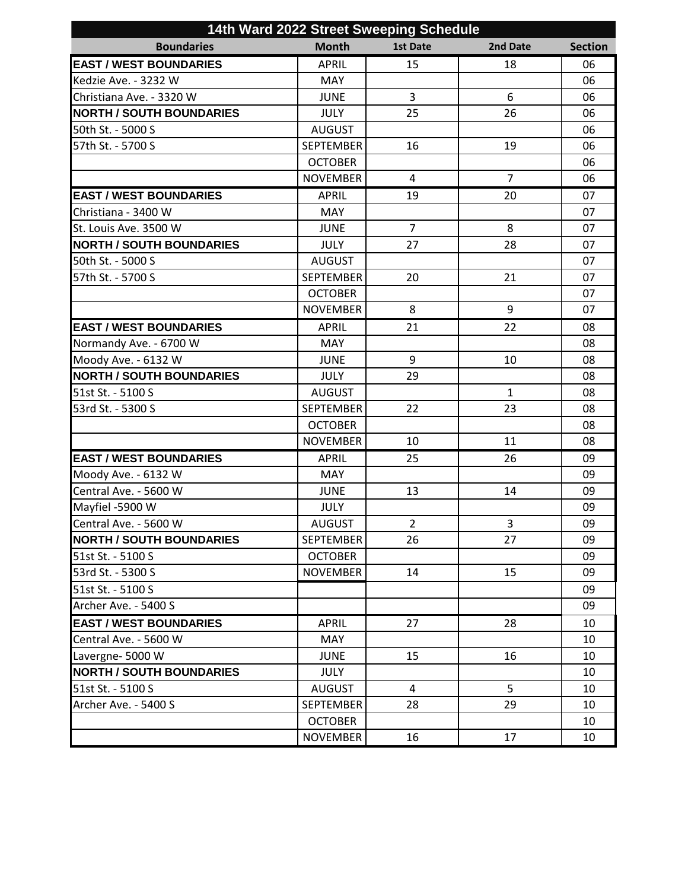| 14th Ward 2022 Street Sweeping Schedule |                  |                 |                |                |  |
|-----------------------------------------|------------------|-----------------|----------------|----------------|--|
| <b>Boundaries</b>                       | <b>Month</b>     | <b>1st Date</b> | 2nd Date       | <b>Section</b> |  |
| <b>EAST / WEST BOUNDARIES</b>           | <b>APRIL</b>     | 15              | 18             | 06             |  |
| Kedzie Ave. - 3232 W                    | MAY              |                 |                | 06             |  |
| Christiana Ave. - 3320 W                | <b>JUNE</b>      | 3               | 6              | 06             |  |
| <b>NORTH / SOUTH BOUNDARIES</b>         | <b>JULY</b>      | 25              | 26             | 06             |  |
| 50th St. - 5000 S                       | <b>AUGUST</b>    |                 |                | 06             |  |
| 57th St. - 5700 S                       | <b>SEPTEMBER</b> | 16              | 19             | 06             |  |
|                                         | <b>OCTOBER</b>   |                 |                | 06             |  |
|                                         | <b>NOVEMBER</b>  | 4               | $\overline{7}$ | 06             |  |
| <b>EAST / WEST BOUNDARIES</b>           | <b>APRIL</b>     | 19              | 20             | 07             |  |
| Christiana - 3400 W                     | <b>MAY</b>       |                 |                | 07             |  |
| St. Louis Ave. 3500 W                   | <b>JUNE</b>      | $\overline{7}$  | 8              | 07             |  |
| <b>NORTH / SOUTH BOUNDARIES</b>         | <b>JULY</b>      | 27              | 28             | 07             |  |
| 50th St. - 5000 S                       | <b>AUGUST</b>    |                 |                | 07             |  |
| 57th St. - 5700 S                       | <b>SEPTEMBER</b> | 20              | 21             | 07             |  |
|                                         | <b>OCTOBER</b>   |                 |                | 07             |  |
|                                         | <b>NOVEMBER</b>  | 8               | 9              | 07             |  |
| <b>EAST / WEST BOUNDARIES</b>           | <b>APRIL</b>     | 21              | 22             | 08             |  |
| Normandy Ave. - 6700 W                  | <b>MAY</b>       |                 |                | 08             |  |
| Moody Ave. - 6132 W                     | <b>JUNE</b>      | 9               | 10             | 08             |  |
| <b>NORTH / SOUTH BOUNDARIES</b>         | <b>JULY</b>      | 29              |                | 08             |  |
| 51st St. - 5100 S                       | <b>AUGUST</b>    |                 | $\mathbf{1}$   | 08             |  |
| 53rd St. - 5300 S                       | <b>SEPTEMBER</b> | 22              | 23             | 08             |  |
|                                         | <b>OCTOBER</b>   |                 |                | 08             |  |
|                                         | <b>NOVEMBER</b>  | 10              | 11             | 08             |  |
| <b>EAST / WEST BOUNDARIES</b>           | <b>APRIL</b>     | 25              | 26             | 09             |  |
| Moody Ave. - 6132 W                     | <b>MAY</b>       |                 |                | 09             |  |
| Central Ave. - 5600 W                   | <b>JUNE</b>      | 13              | 14             | 09             |  |
| Mayfiel -5900 W                         | <b>JULY</b>      |                 |                | 09             |  |
| Central Ave. - 5600 W                   | AUGUST           | $\overline{2}$  | 3              | 09             |  |
| <b>NORTH / SOUTH BOUNDARIES</b>         | <b>SEPTEMBER</b> | 26              | 27             | 09             |  |
| 51st St. - 5100 S                       | <b>OCTOBER</b>   |                 |                | 09             |  |
| 53rd St. - 5300 S                       | <b>NOVEMBER</b>  | 14              | 15             | 09             |  |
| 51st St. - 5100 S                       |                  |                 |                | 09             |  |
| Archer Ave. - 5400 S                    |                  |                 |                | 09             |  |
| <b>EAST / WEST BOUNDARIES</b>           | <b>APRIL</b>     | 27              | 28             | 10             |  |
| Central Ave. - 5600 W                   | <b>MAY</b>       |                 |                | 10             |  |
| Lavergne-5000 W                         | <b>JUNE</b>      | 15              | 16             | 10             |  |
| <b>NORTH / SOUTH BOUNDARIES</b>         | <b>JULY</b>      |                 |                | 10             |  |
| 51st St. - 5100 S                       | <b>AUGUST</b>    | $\overline{4}$  | 5              | 10             |  |
| Archer Ave. - 5400 S                    | <b>SEPTEMBER</b> | 28              | 29             | 10             |  |
|                                         | <b>OCTOBER</b>   |                 |                | 10             |  |
|                                         | <b>NOVEMBER</b>  | 16              | 17             | 10             |  |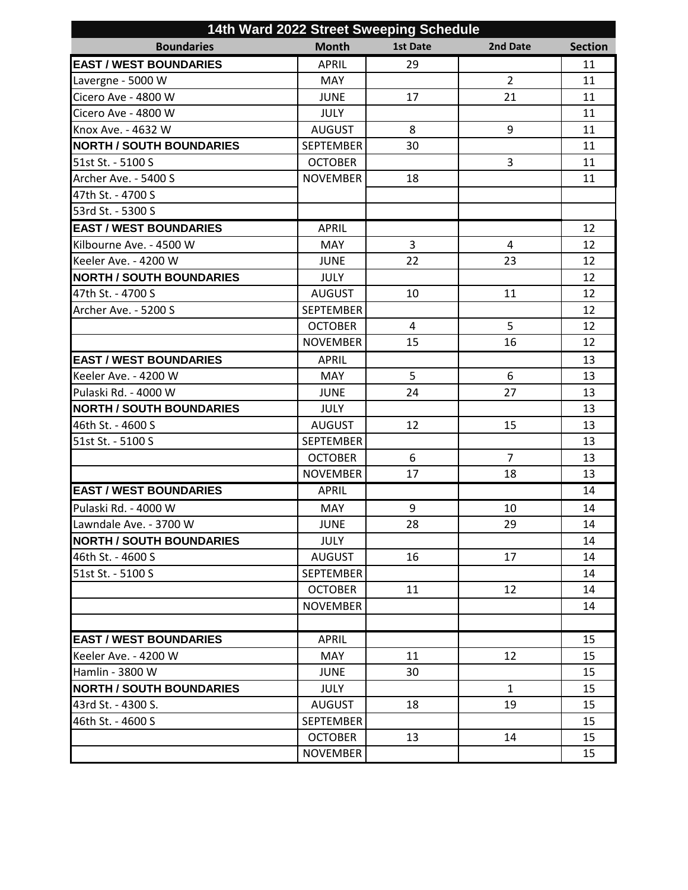| 14th Ward 2022 Street Sweeping Schedule |                  |          |                |                |  |
|-----------------------------------------|------------------|----------|----------------|----------------|--|
| <b>Boundaries</b>                       | <b>Month</b>     | 1st Date | 2nd Date       | <b>Section</b> |  |
| <b>EAST / WEST BOUNDARIES</b>           | <b>APRIL</b>     | 29       |                | 11             |  |
| Lavergne - 5000 W                       | <b>MAY</b>       |          | $\overline{2}$ | 11             |  |
| Cicero Ave - 4800 W                     | <b>JUNE</b>      | 17       | 21             | 11             |  |
| Cicero Ave - 4800 W                     | <b>JULY</b>      |          |                | 11             |  |
| Knox Ave. - 4632 W                      | <b>AUGUST</b>    | 8        | 9              | 11             |  |
| <b>NORTH / SOUTH BOUNDARIES</b>         | <b>SEPTEMBER</b> | 30       |                | 11             |  |
| 51st St. - 5100 S                       | <b>OCTOBER</b>   |          | 3              | 11             |  |
| Archer Ave. - 5400 S                    | <b>NOVEMBER</b>  | 18       |                | 11             |  |
| 47th St. - 4700 S                       |                  |          |                |                |  |
| 53rd St. - 5300 S                       |                  |          |                |                |  |
| <b>EAST / WEST BOUNDARIES</b>           | <b>APRIL</b>     |          |                | 12             |  |
| Kilbourne Ave. - 4500 W                 | <b>MAY</b>       | 3        | 4              | 12             |  |
| Keeler Ave. - 4200 W                    | <b>JUNE</b>      | 22       | 23             | 12             |  |
| <b>NORTH / SOUTH BOUNDARIES</b>         | <b>JULY</b>      |          |                | 12             |  |
| 47th St. - 4700 S                       | <b>AUGUST</b>    | 10       | 11             | 12             |  |
| Archer Ave. - 5200 S                    | <b>SEPTEMBER</b> |          |                | 12             |  |
|                                         | <b>OCTOBER</b>   | 4        | 5              | 12             |  |
|                                         | <b>NOVEMBER</b>  | 15       | 16             | 12             |  |
| <b>EAST / WEST BOUNDARIES</b>           | <b>APRIL</b>     |          |                | 13             |  |
| Keeler Ave. - 4200 W                    | <b>MAY</b>       | 5        | 6              | 13             |  |
| Pulaski Rd. - 4000 W                    | <b>JUNE</b>      | 24       | 27             | 13             |  |
| <b>NORTH / SOUTH BOUNDARIES</b>         | <b>JULY</b>      |          |                | 13             |  |
| 46th St. - 4600 S                       | <b>AUGUST</b>    | 12       | 15             | 13             |  |
| 51st St. - 5100 S                       | <b>SEPTEMBER</b> |          |                | 13             |  |
|                                         | <b>OCTOBER</b>   | 6        | $\overline{7}$ | 13             |  |
|                                         | <b>NOVEMBER</b>  | 17       | 18             | 13             |  |
| <b>EAST / WEST BOUNDARIES</b>           | <b>APRIL</b>     |          |                | 14             |  |
| Pulaski Rd. - 4000 W                    | <b>MAY</b>       | 9        | 10             | 14             |  |
| Lawndale Ave. - 3700 W                  | JUNE             | 28       | 29             | 14             |  |
| <b>NORTH / SOUTH BOUNDARIES</b>         | <b>JULY</b>      |          |                | 14             |  |
| 46th St. - 4600 S                       | <b>AUGUST</b>    | 16       | 17             | 14             |  |
| 51st St. - 5100 S                       | <b>SEPTEMBER</b> |          |                | 14             |  |
|                                         | <b>OCTOBER</b>   | 11       | 12             | 14             |  |
|                                         | <b>NOVEMBER</b>  |          |                | 14             |  |
|                                         |                  |          |                |                |  |
| <b>EAST / WEST BOUNDARIES</b>           | <b>APRIL</b>     |          |                | 15             |  |
| Keeler Ave. - 4200 W                    | <b>MAY</b>       | 11       | 12             | 15             |  |
| Hamlin - 3800 W                         | <b>JUNE</b>      | 30       |                | 15             |  |
| <b>NORTH / SOUTH BOUNDARIES</b>         | <b>JULY</b>      |          | $\mathbf{1}$   | 15             |  |
| 43rd St. - 4300 S.                      | <b>AUGUST</b>    | 18       | 19             | 15             |  |
| 46th St. - 4600 S                       | <b>SEPTEMBER</b> |          |                | 15             |  |
|                                         | <b>OCTOBER</b>   | 13       | 14             | 15             |  |
|                                         | <b>NOVEMBER</b>  |          |                | 15             |  |